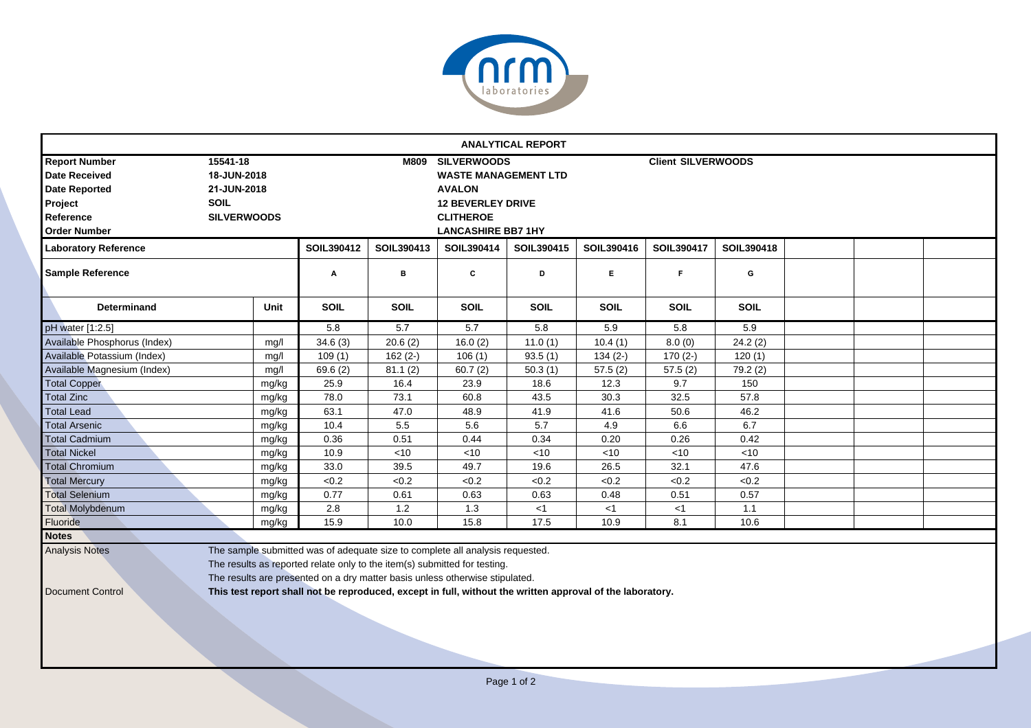

| <b>ANALYTICAL REPORT</b>                                                                                                                                                                                                                                                                                                                                                                             |                           |                                                                                                                            |             |             |             |                           |             |             |  |  |
|------------------------------------------------------------------------------------------------------------------------------------------------------------------------------------------------------------------------------------------------------------------------------------------------------------------------------------------------------------------------------------------------------|---------------------------|----------------------------------------------------------------------------------------------------------------------------|-------------|-------------|-------------|---------------------------|-------------|-------------|--|--|
| 15541-18<br><b>Report Number</b><br><b>Date Received</b><br>18-JUN-2018<br><b>Date Reported</b><br>21-JUN-2018<br><b>SOIL</b><br>Project<br><b>SILVERWOODS</b><br>Reference                                                                                                                                                                                                                          |                           | <b>SILVERWOODS</b><br>M809<br><b>WASTE MANAGEMENT LTD</b><br><b>AVALON</b><br><b>12 BEVERLEY DRIVE</b><br><b>CLITHEROE</b> |             |             |             | <b>Client SILVERWOODS</b> |             |             |  |  |
| <b>Order Number</b>                                                                                                                                                                                                                                                                                                                                                                                  | <b>LANCASHIRE BB7 1HY</b> |                                                                                                                            |             |             |             |                           |             |             |  |  |
| <b>Laboratory Reference</b>                                                                                                                                                                                                                                                                                                                                                                          |                           | SOIL390412                                                                                                                 | SOIL390413  | SOIL390414  | SOIL390415  | SOIL390416                | SOIL390417  | SOIL390418  |  |  |
| <b>Sample Reference</b>                                                                                                                                                                                                                                                                                                                                                                              |                           | A                                                                                                                          | в           | c           | D           | E.                        | F           | G           |  |  |
| <b>Determinand</b>                                                                                                                                                                                                                                                                                                                                                                                   | Unit                      | <b>SOIL</b>                                                                                                                | <b>SOIL</b> | <b>SOIL</b> | <b>SOIL</b> | SOIL                      | <b>SOIL</b> | <b>SOIL</b> |  |  |
| pH water [1:2.5]                                                                                                                                                                                                                                                                                                                                                                                     |                           | 5.8                                                                                                                        | 5.7         | 5.7         | 5.8         | 5.9                       | 5.8         | 5.9         |  |  |
| Available Phosphorus (Index)                                                                                                                                                                                                                                                                                                                                                                         | mg/l                      | 34.6(3)                                                                                                                    | 20.6(2)     | 16.0(2)     | 11.0(1)     | 10.4(1)                   | 8.0(0)      | 24.2(2)     |  |  |
| Available Potassium (Index)                                                                                                                                                                                                                                                                                                                                                                          | mg/l                      | 109(1)                                                                                                                     | $162(2-)$   | 106(1)      | 93.5(1)     | $134(2-)$                 | $170(2-)$   | 120(1)      |  |  |
| Available Magnesium (Index)                                                                                                                                                                                                                                                                                                                                                                          | mg/l                      | 69.6(2)                                                                                                                    | 81.1(2)     | 60.7(2)     | 50.3(1)     | 57.5(2)                   | 57.5(2)     | 79.2 (2)    |  |  |
| <b>Total Copper</b>                                                                                                                                                                                                                                                                                                                                                                                  | mg/kg                     | 25.9                                                                                                                       | 16.4        | 23.9        | 18.6        | 12.3                      | 9.7         | 150         |  |  |
| <b>Total Zinc</b>                                                                                                                                                                                                                                                                                                                                                                                    | mg/kg                     | 78.0                                                                                                                       | 73.1        | 60.8        | 43.5        | 30.3                      | 32.5        | 57.8        |  |  |
| <b>Total Lead</b>                                                                                                                                                                                                                                                                                                                                                                                    | mg/kg                     | 63.1                                                                                                                       | 47.0        | 48.9        | 41.9        | 41.6                      | 50.6        | 46.2        |  |  |
| <b>Total Arsenic</b>                                                                                                                                                                                                                                                                                                                                                                                 | mg/kg                     | 10.4                                                                                                                       | 5.5         | 5.6         | 5.7         | 4.9                       | 6.6         | 6.7         |  |  |
| <b>Total Cadmium</b>                                                                                                                                                                                                                                                                                                                                                                                 | mg/kg                     | 0.36                                                                                                                       | 0.51        | 0.44        | 0.34        | 0.20                      | 0.26        | 0.42        |  |  |
| <b>Total Nickel</b>                                                                                                                                                                                                                                                                                                                                                                                  | mg/kg                     | 10.9                                                                                                                       | <10         | <10         | < 10        | < 10                      | < 10        | $<$ 10      |  |  |
| <b>Total Chromium</b>                                                                                                                                                                                                                                                                                                                                                                                | mg/kg                     | 33.0                                                                                                                       | 39.5        | 49.7        | 19.6        | 26.5                      | 32.1        | 47.6        |  |  |
| <b>Total Mercury</b>                                                                                                                                                                                                                                                                                                                                                                                 | mg/kg                     | < 0.2                                                                                                                      | < 0.2       | < 0.2       | < 0.2       | < 0.2                     | < 0.2       | < 0.2       |  |  |
| <b>Total Selenium</b>                                                                                                                                                                                                                                                                                                                                                                                | mg/kg                     | 0.77                                                                                                                       | 0.61        | 0.63        | 0.63        | 0.48                      | 0.51        | 0.57        |  |  |
| <b>Total Molybdenum</b>                                                                                                                                                                                                                                                                                                                                                                              | mg/kg                     | 2.8                                                                                                                        | 1.2         | 1.3         | $<$ 1       | $<$ 1                     | $<$ 1       | 1.1         |  |  |
| Fluoride                                                                                                                                                                                                                                                                                                                                                                                             | mg/kg                     | 15.9                                                                                                                       | 10.0        | 15.8        | 17.5        | 10.9                      | 8.1         | 10.6        |  |  |
| <b>Notes</b>                                                                                                                                                                                                                                                                                                                                                                                         |                           |                                                                                                                            |             |             |             |                           |             |             |  |  |
| The sample submitted was of adequate size to complete all analysis requested.<br><b>Analysis Notes</b><br>The results as reported relate only to the item(s) submitted for testing.<br>The results are presented on a dry matter basis unless otherwise stipulated.<br>This test report shall not be reproduced, except in full, without the written approval of the laboratory.<br>Document Control |                           |                                                                                                                            |             |             |             |                           |             |             |  |  |